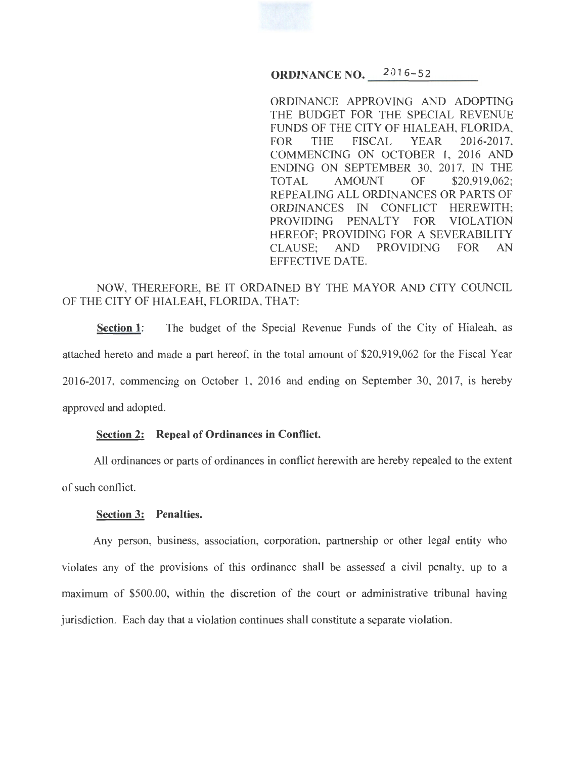**ORDINANCE NO.** 2016-52

ORDINANCE APPROVING AND ADOPTING THE BUDGET FOR THE SPECIAL REVENUE FUNDS OF THE CITY OF HIALEAH, FLORIDA, FOR THE FISCAL YEAR 2016-2017, COMMENCING ON OCTOBER 1, 2016 AND ENDING ON SEPTEMBER 30, 2017, IN THE TOTAL AMOUNT OF \$20,919,062; REPEALING ALL ORDINANCES OR PARTS OF ORDINANCES IN CONFLICT HEREWITH; PROVIDING PENALTY FOR VIOLATION HEREOF; PROVIDING FOR A SEVERABILITY CLAUSE; AND PROVIDING FOR AN EFFECTIVE DATE.

# NOW, THEREFORE, BE IT ORDAINED BY THE MAYOR AND CITY COUNCIL OF THE CITY OF HIALEAH, FLORIDA, THAT:

**Section 1:** The budget of the Special Revenue Funds of the City of Hialeah, as attached hereto and made a part hereof, in the total amount of \$20,919,062 for the Fiscal Year 2016-2017, commencing on October 1, 2016 and ending on September 30, 2017, is hereby approved and adopted.

## **Section 2: Repeal of Ordinances in Conflict.**

All ordinances or parts of ordinances in conflict herewith are hereby repealed to the extent of such conflict.

## **Section 3: Penalties.**

Any person, business, association, corporation, partnership or other legal entity who violates any of the provisions of this ordinance shall be assessed a civil penalty, up to a maximum of \$500.00, within the discretion of the court or administrative tribunal having jurisdiction. Each day that a violation continues shall constitute a separate violation.